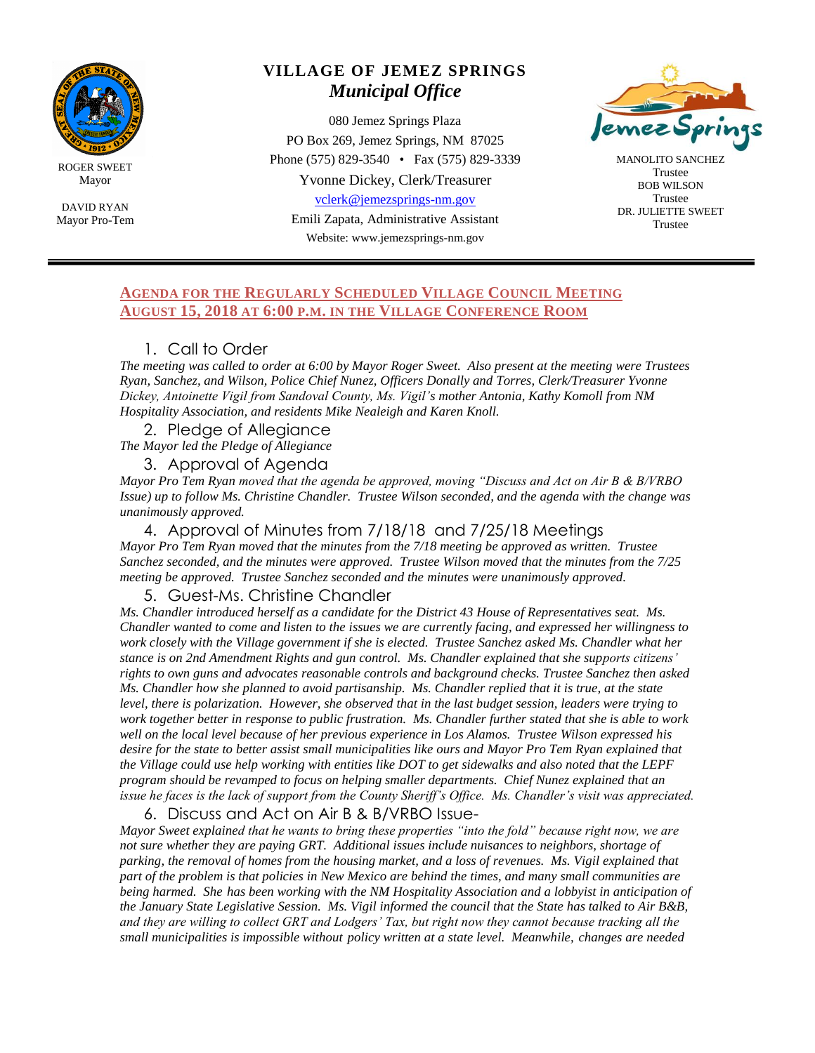

ROGER SWEET Mayor

DAVID RYAN Mayor Pro-Tem

# **VILLAGE OF JEMEZ SPRINGS** *Municipal Office*

080 Jemez Springs Plaza PO Box 269, Jemez Springs, NM 87025 Phone (575) 829-3540 • Fax (575) 829-3339 Yvonne Dickey, Clerk/Treasurer

[vclerk@jemezsprings-nm.gov](mailto:vclerk@jemezsprings-nm.gov)

Emili Zapata, Administrative Assistant Website: www.jemezsprings-nm.gov



MANOLITO SANCHEZ Trustee BOB WILSON Trustee DR. JULIETTE SWEET Trustee

## **AGENDA FOR THE REGULARLY SCHEDULED VILLAGE COUNCIL MEETING AUGUST 15, 2018 AT 6:00 P.M. IN THE VILLAGE CONFERENCE ROOM**

# 1. Call to Order

*The meeting was called to order at 6:00 by Mayor Roger Sweet. Also present at the meeting were Trustees Ryan, Sanchez, and Wilson, Police Chief Nunez, Officers Donally and Torres, Clerk/Treasurer Yvonne Dickey, Antoinette Vigil from Sandoval County, Ms. Vigil's mother Antonia, Kathy Komoll from NM Hospitality Association, and residents Mike Nealeigh and Karen Knoll.*

2. Pledge of Allegiance

*The Mayor led the Pledge of Allegiance*

3. Approval of Agenda

*Mayor Pro Tem Ryan moved that the agenda be approved, moving "Discuss and Act on Air B & B/VRBO Issue) up to follow Ms. Christine Chandler. Trustee Wilson seconded, and the agenda with the change was unanimously approved.*

4. Approval of Minutes from 7/18/18 and 7/25/18 Meetings *Mayor Pro Tem Ryan moved that the minutes from the 7/18 meeting be approved as written. Trustee Sanchez seconded, and the minutes were approved. Trustee Wilson moved that the minutes from the 7/25 meeting be approved. Trustee Sanchez seconded and the minutes were unanimously approved.*

5. Guest-Ms. Christine Chandler

*Ms. Chandler introduced herself as a candidate for the District 43 House of Representatives seat. Ms. Chandler wanted to come and listen to the issues we are currently facing, and expressed her willingness to work closely with the Village government if she is elected. Trustee Sanchez asked Ms. Chandler what her stance is on 2nd Amendment Rights and gun control. Ms. Chandler explained that she supports citizens' rights to own guns and advocates reasonable controls and background checks. Trustee Sanchez then asked Ms. Chandler how she planned to avoid partisanship. Ms. Chandler replied that it is true, at the state level, there is polarization. However, she observed that in the last budget session, leaders were trying to work together better in response to public frustration. Ms. Chandler further stated that she is able to work well on the local level because of her previous experience in Los Alamos. Trustee Wilson expressed his desire for the state to better assist small municipalities like ours and Mayor Pro Tem Ryan explained that the Village could use help working with entities like DOT to get sidewalks and also noted that the LEPF program should be revamped to focus on helping smaller departments. Chief Nunez explained that an issue he faces is the lack of support from the County Sheriff's Office. Ms. Chandler's visit was appreciated.* 

6. Discuss and Act on Air B & B/VRBO Issue-

*Mayor Sweet explained that he wants to bring these properties "into the fold" because right now, we are not sure whether they are paying GRT. Additional issues include nuisances to neighbors, shortage of*  parking, the removal of homes from the housing market, and a loss of revenues. Ms. Vigil explained that *part of the problem is that policies in New Mexico are behind the times, and many small communities are being harmed. She has been working with the NM Hospitality Association and a lobbyist in anticipation of the January State Legislative Session. Ms. Vigil informed the council that the State has talked to Air B&B, and they are willing to collect GRT and Lodgers' Tax, but right now they cannot because tracking all the small municipalities is impossible without policy written at a state level. Meanwhile, changes are needed*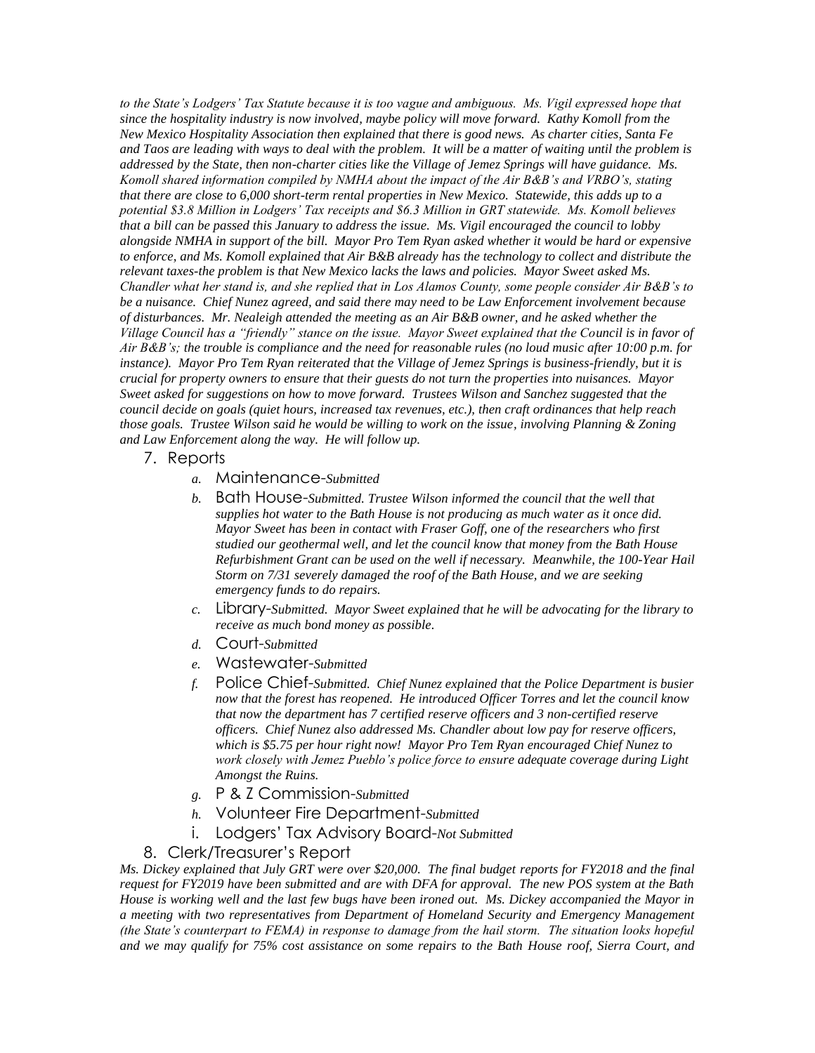*to the State's Lodgers' Tax Statute because it is too vague and ambiguous. Ms. Vigil expressed hope that since the hospitality industry is now involved, maybe policy will move forward. Kathy Komoll from the New Mexico Hospitality Association then explained that there is good news. As charter cities, Santa Fe*  and Taos are leading with ways to deal with the problem. It will be a matter of waiting until the problem is *addressed by the State, then non-charter cities like the Village of Jemez Springs will have guidance. Ms. Komoll shared information compiled by NMHA about the impact of the Air B&B's and VRBO's, stating that there are close to 6,000 short-term rental properties in New Mexico. Statewide, this adds up to a potential \$3.8 Million in Lodgers' Tax receipts and \$6.3 Million in GRT statewide. Ms. Komoll believes that a bill can be passed this January to address the issue. Ms. Vigil encouraged the council to lobby alongside NMHA in support of the bill. Mayor Pro Tem Ryan asked whether it would be hard or expensive to enforce, and Ms. Komoll explained that Air B&B already has the technology to collect and distribute the relevant taxes-the problem is that New Mexico lacks the laws and policies. Mayor Sweet asked Ms. Chandler what her stand is, and she replied that in Los Alamos County, some people consider Air B&B's to be a nuisance. Chief Nunez agreed, and said there may need to be Law Enforcement involvement because of disturbances. Mr. Nealeigh attended the meeting as an Air B&B owner, and he asked whether the Village Council has a "friendly" stance on the issue. Mayor Sweet explained that the Council is in favor of Air B&B's; the trouble is compliance and the need for reasonable rules (no loud music after 10:00 p.m. for instance). Mayor Pro Tem Ryan reiterated that the Village of Jemez Springs is business-friendly, but it is crucial for property owners to ensure that their guests do not turn the properties into nuisances. Mayor Sweet asked for suggestions on how to move forward. Trustees Wilson and Sanchez suggested that the council decide on goals (quiet hours, increased tax revenues, etc.), then craft ordinances that help reach those goals. Trustee Wilson said he would be willing to work on the issue, involving Planning & Zoning and Law Enforcement along the way. He will follow up.*

- 7. Reports
	- *a.* Maintenance-*Submitted*
	- *b.* Bath House-*Submitted. Trustee Wilson informed the council that the well that supplies hot water to the Bath House is not producing as much water as it once did. Mayor Sweet has been in contact with Fraser Goff, one of the researchers who first studied our geothermal well, and let the council know that money from the Bath House Refurbishment Grant can be used on the well if necessary. Meanwhile, the 100-Year Hail Storm on 7/31 severely damaged the roof of the Bath House, and we are seeking emergency funds to do repairs.*
	- *c.* Library-*Submitted. Mayor Sweet explained that he will be advocating for the library to receive as much bond money as possible.*
	- *d.* Court-*Submitted*
	- *e.* Wastewater-*Submitted*
	- *f.* Police Chief-*Submitted. Chief Nunez explained that the Police Department is busier now that the forest has reopened. He introduced Officer Torres and let the council know that now the department has 7 certified reserve officers and 3 non-certified reserve officers. Chief Nunez also addressed Ms. Chandler about low pay for reserve officers, which is \$5.75 per hour right now! Mayor Pro Tem Ryan encouraged Chief Nunez to work closely with Jemez Pueblo's police force to ensure adequate coverage during Light Amongst the Ruins.*
	- *g.* P & Z Commission-*Submitted*
	- *h.* Volunteer Fire Department-*Submitted*
	- i. Lodgers' Tax Advisory Board-*Not Submitted*

#### 8. Clerk/Treasurer's Report

*Ms. Dickey explained that July GRT were over \$20,000. The final budget reports for FY2018 and the final request for FY2019 have been submitted and are with DFA for approval. The new POS system at the Bath House is working well and the last few bugs have been ironed out. Ms. Dickey accompanied the Mayor in a meeting with two representatives from Department of Homeland Security and Emergency Management (the State's counterpart to FEMA) in response to damage from the hail storm. The situation looks hopeful and we may qualify for 75% cost assistance on some repairs to the Bath House roof, Sierra Court, and*